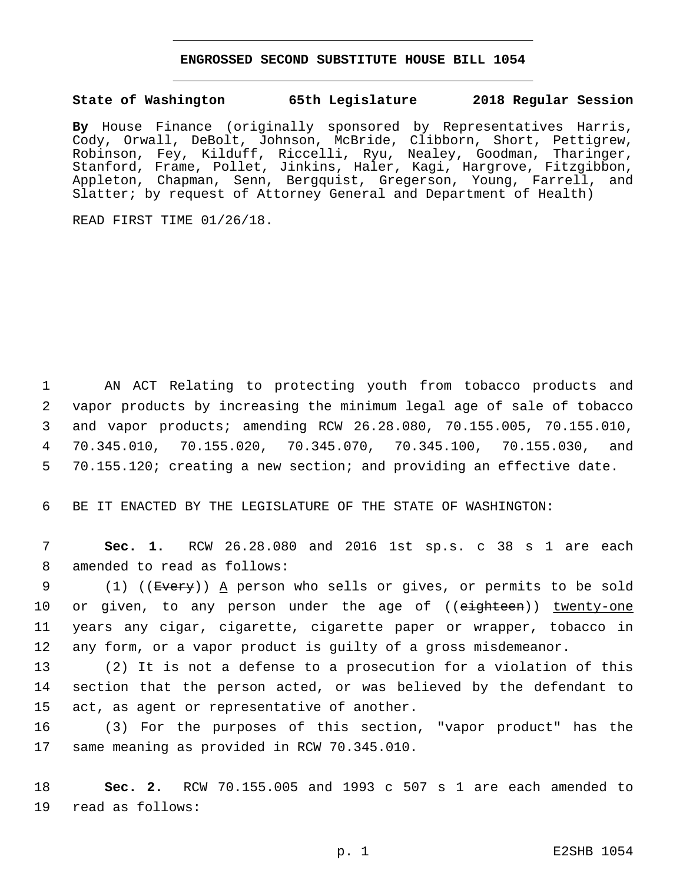## **ENGROSSED SECOND SUBSTITUTE HOUSE BILL 1054**

## **State of Washington 65th Legislature 2018 Regular Session**

**By** House Finance (originally sponsored by Representatives Harris, Cody, Orwall, DeBolt, Johnson, McBride, Clibborn, Short, Pettigrew, Robinson, Fey, Kilduff, Riccelli, Ryu, Nealey, Goodman, Tharinger, Stanford, Frame, Pollet, Jinkins, Haler, Kagi, Hargrove, Fitzgibbon, Appleton, Chapman, Senn, Bergquist, Gregerson, Young, Farrell, and Slatter; by request of Attorney General and Department of Health)

READ FIRST TIME 01/26/18.

 AN ACT Relating to protecting youth from tobacco products and vapor products by increasing the minimum legal age of sale of tobacco and vapor products; amending RCW 26.28.080, 70.155.005, 70.155.010, 70.345.010, 70.155.020, 70.345.070, 70.345.100, 70.155.030, and 70.155.120; creating a new section; and providing an effective date.

6 BE IT ENACTED BY THE LEGISLATURE OF THE STATE OF WASHINGTON:

7 **Sec. 1.** RCW 26.28.080 and 2016 1st sp.s. c 38 s 1 are each 8 amended to read as follows:

9 (1) ((Every)) A person who sells or gives, or permits to be sold 10 or given, to any person under the age of ((eighteen)) twenty-one 11 years any cigar, cigarette, cigarette paper or wrapper, tobacco in 12 any form, or a vapor product is guilty of a gross misdemeanor.

13 (2) It is not a defense to a prosecution for a violation of this 14 section that the person acted, or was believed by the defendant to 15 act, as agent or representative of another.

16 (3) For the purposes of this section, "vapor product" has the 17 same meaning as provided in RCW 70.345.010.

18 **Sec. 2.** RCW 70.155.005 and 1993 c 507 s 1 are each amended to 19 read as follows: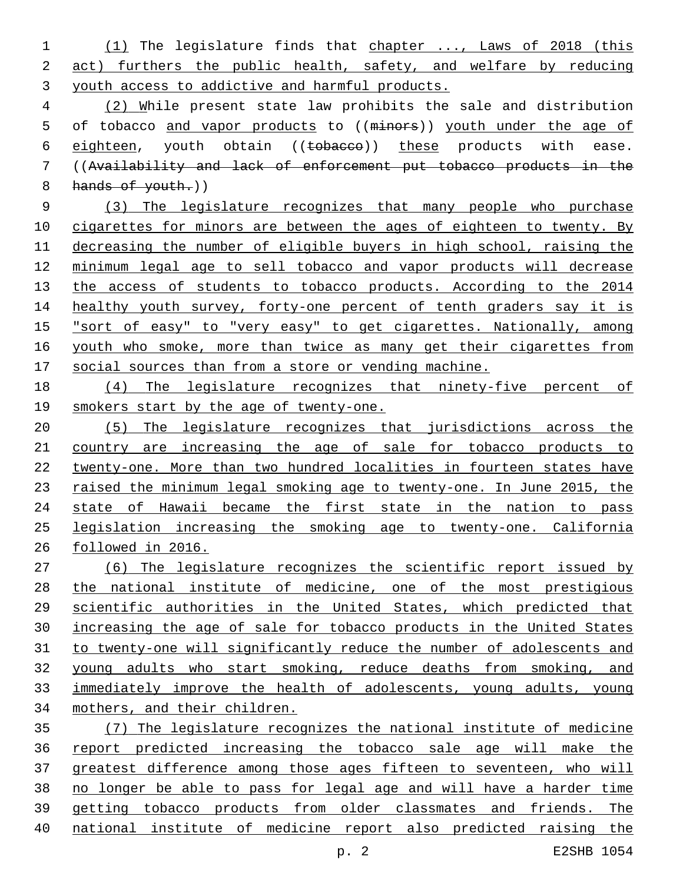(1) The legislature finds that chapter ..., Laws of 2018 (this act) furthers the public health, safety, and welfare by reducing youth access to addictive and harmful products.

 (2) While present state law prohibits the sale and distribution 5 of tobacco and vapor products to ((minors)) youth under the age of 6 eighteen, youth obtain ((tobacco)) these products with ease. ((Availability and lack of enforcement put tobacco products in the 8 hands of youth.)

 (3) The legislature recognizes that many people who purchase 10 cigarettes for minors are between the ages of eighteen to twenty. By decreasing the number of eligible buyers in high school, raising the minimum legal age to sell tobacco and vapor products will decrease 13 the access of students to tobacco products. According to the 2014 14 healthy youth survey, forty-one percent of tenth graders say it is "sort of easy" to "very easy" to get cigarettes. Nationally, among 16 youth who smoke, more than twice as many get their cigarettes from social sources than from a store or vending machine.

 (4) The legislature recognizes that ninety-five percent of smokers start by the age of twenty-one.

 (5) The legislature recognizes that jurisdictions across the country are increasing the age of sale for tobacco products to twenty-one. More than two hundred localities in fourteen states have 23 raised the minimum legal smoking age to twenty-one. In June 2015, the 24 state of Hawaii became the first state in the nation to pass legislation increasing the smoking age to twenty-one. California followed in 2016.

 (6) The legislature recognizes the scientific report issued by the national institute of medicine, one of the most prestigious scientific authorities in the United States, which predicted that increasing the age of sale for tobacco products in the United States to twenty-one will significantly reduce the number of adolescents and young adults who start smoking, reduce deaths from smoking, and immediately improve the health of adolescents, young adults, young mothers, and their children.

 (7) The legislature recognizes the national institute of medicine report predicted increasing the tobacco sale age will make the greatest difference among those ages fifteen to seventeen, who will no longer be able to pass for legal age and will have a harder time getting tobacco products from older classmates and friends. The national institute of medicine report also predicted raising the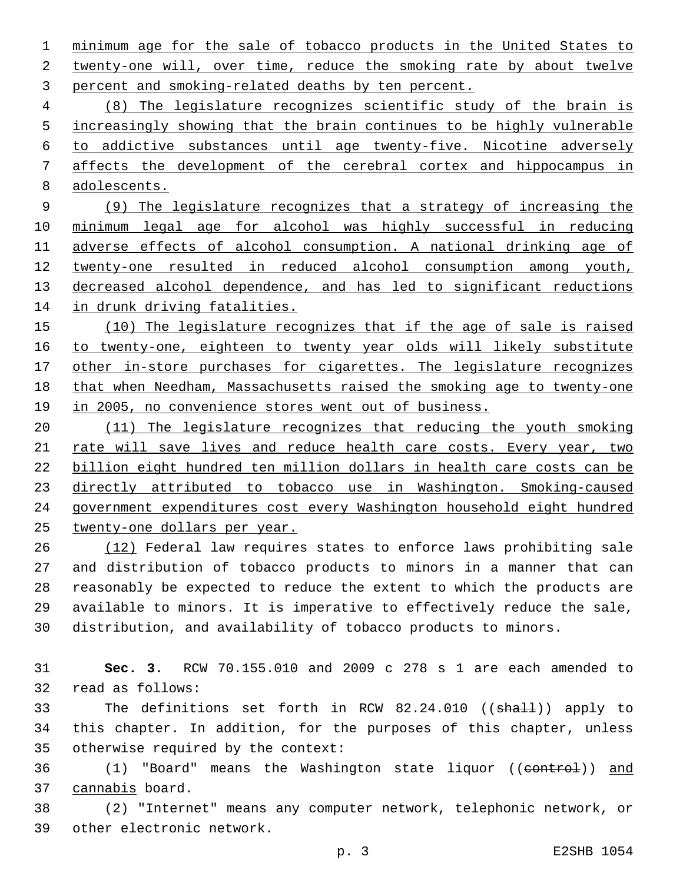minimum age for the sale of tobacco products in the United States to 2 twenty-one will, over time, reduce the smoking rate by about twelve 3 percent and smoking-related deaths by ten percent.

 (8) The legislature recognizes scientific study of the brain is 5 increasingly showing that the brain continues to be highly vulnerable to addictive substances until age twenty-five. Nicotine adversely affects the development of the cerebral cortex and hippocampus in adolescents.

 (9) The legislature recognizes that a strategy of increasing the minimum legal age for alcohol was highly successful in reducing adverse effects of alcohol consumption. A national drinking age of twenty-one resulted in reduced alcohol consumption among youth, decreased alcohol dependence, and has led to significant reductions in drunk driving fatalities.

 (10) The legislature recognizes that if the age of sale is raised to twenty-one, eighteen to twenty year olds will likely substitute 17 other in-store purchases for cigarettes. The legislature recognizes that when Needham, Massachusetts raised the smoking age to twenty-one 19 in 2005, no convenience stores went out of business.

 (11) The legislature recognizes that reducing the youth smoking 21 rate will save lives and reduce health care costs. Every year, two billion eight hundred ten million dollars in health care costs can be directly attributed to tobacco use in Washington. Smoking-caused government expenditures cost every Washington household eight hundred twenty-one dollars per year.

 (12) Federal law requires states to enforce laws prohibiting sale and distribution of tobacco products to minors in a manner that can reasonably be expected to reduce the extent to which the products are available to minors. It is imperative to effectively reduce the sale, distribution, and availability of tobacco products to minors.

 **Sec. 3.** RCW 70.155.010 and 2009 c 278 s 1 are each amended to 32 read as follows:

33 The definitions set forth in RCW 82.24.010 ((shall)) apply to this chapter. In addition, for the purposes of this chapter, unless 35 otherwise required by the context:

36 (1) "Board" means the Washington state liquor ((control)) and 37 cannabis board.

 (2) "Internet" means any computer network, telephonic network, or 39 other electronic network.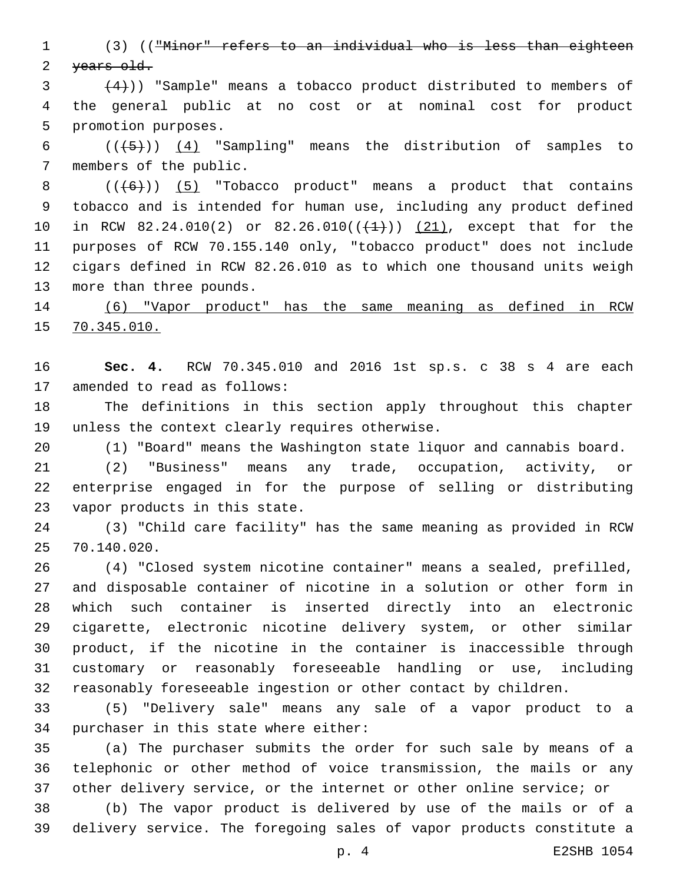(3) (("Minor" refers to an individual who is less than eighteen 2 years old.

 $(4)$ )) "Sample" means a tobacco product distributed to members of the general public at no cost or at nominal cost for product 5 promotion purposes.

6  $((+5))$   $(4)$  "Sampling" means the distribution of samples to 7 members of the public.

 $((+6))$   $(5)$  "Tobacco product" means a product that contains tobacco and is intended for human use, including any product defined 10 in RCW 82.24.010(2) or 82.26.010( $(\frac{1}{1})$ )  $(21)$ , except that for the purposes of RCW 70.155.140 only, "tobacco product" does not include cigars defined in RCW 82.26.010 as to which one thousand units weigh 13 more than three pounds.

 (6) "Vapor product" has the same meaning as defined in RCW 70.345.010.

 **Sec. 4.** RCW 70.345.010 and 2016 1st sp.s. c 38 s 4 are each 17 amended to read as follows:

 The definitions in this section apply throughout this chapter 19 unless the context clearly requires otherwise.

(1) "Board" means the Washington state liquor and cannabis board.

 (2) "Business" means any trade, occupation, activity, or enterprise engaged in for the purpose of selling or distributing 23 vapor products in this state.

 (3) "Child care facility" has the same meaning as provided in RCW 70.140.020.25

 (4) "Closed system nicotine container" means a sealed, prefilled, and disposable container of nicotine in a solution or other form in which such container is inserted directly into an electronic cigarette, electronic nicotine delivery system, or other similar product, if the nicotine in the container is inaccessible through customary or reasonably foreseeable handling or use, including reasonably foreseeable ingestion or other contact by children.

 (5) "Delivery sale" means any sale of a vapor product to a 34 purchaser in this state where either:

 (a) The purchaser submits the order for such sale by means of a telephonic or other method of voice transmission, the mails or any other delivery service, or the internet or other online service; or

 (b) The vapor product is delivered by use of the mails or of a delivery service. The foregoing sales of vapor products constitute a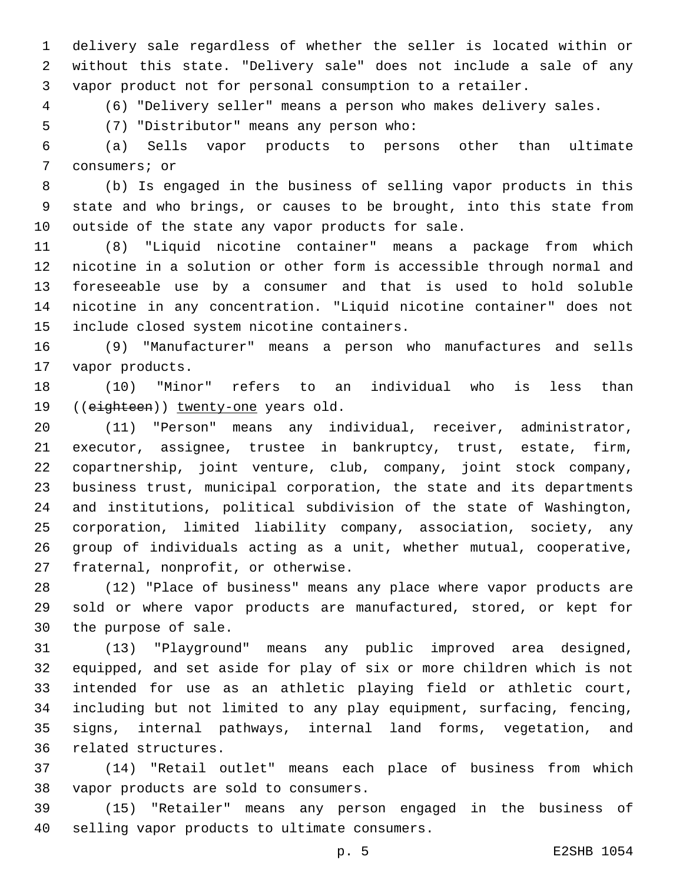delivery sale regardless of whether the seller is located within or without this state. "Delivery sale" does not include a sale of any vapor product not for personal consumption to a retailer.

(6) "Delivery seller" means a person who makes delivery sales.

(7) "Distributor" means any person who:5

 (a) Sells vapor products to persons other than ultimate 7 consumers; or

 (b) Is engaged in the business of selling vapor products in this state and who brings, or causes to be brought, into this state from 10 outside of the state any vapor products for sale.

 (8) "Liquid nicotine container" means a package from which nicotine in a solution or other form is accessible through normal and foreseeable use by a consumer and that is used to hold soluble nicotine in any concentration. "Liquid nicotine container" does not 15 include closed system nicotine containers.

 (9) "Manufacturer" means a person who manufactures and sells 17 vapor products.

 (10) "Minor" refers to an individual who is less than 19 ((eighteen)) twenty-one years old.

 (11) "Person" means any individual, receiver, administrator, executor, assignee, trustee in bankruptcy, trust, estate, firm, copartnership, joint venture, club, company, joint stock company, business trust, municipal corporation, the state and its departments and institutions, political subdivision of the state of Washington, corporation, limited liability company, association, society, any group of individuals acting as a unit, whether mutual, cooperative, 27 fraternal, nonprofit, or otherwise.

 (12) "Place of business" means any place where vapor products are sold or where vapor products are manufactured, stored, or kept for 30 the purpose of sale.

 (13) "Playground" means any public improved area designed, equipped, and set aside for play of six or more children which is not intended for use as an athletic playing field or athletic court, including but not limited to any play equipment, surfacing, fencing, signs, internal pathways, internal land forms, vegetation, and 36 related structures.

 (14) "Retail outlet" means each place of business from which 38 vapor products are sold to consumers.

 (15) "Retailer" means any person engaged in the business of 40 selling vapor products to ultimate consumers.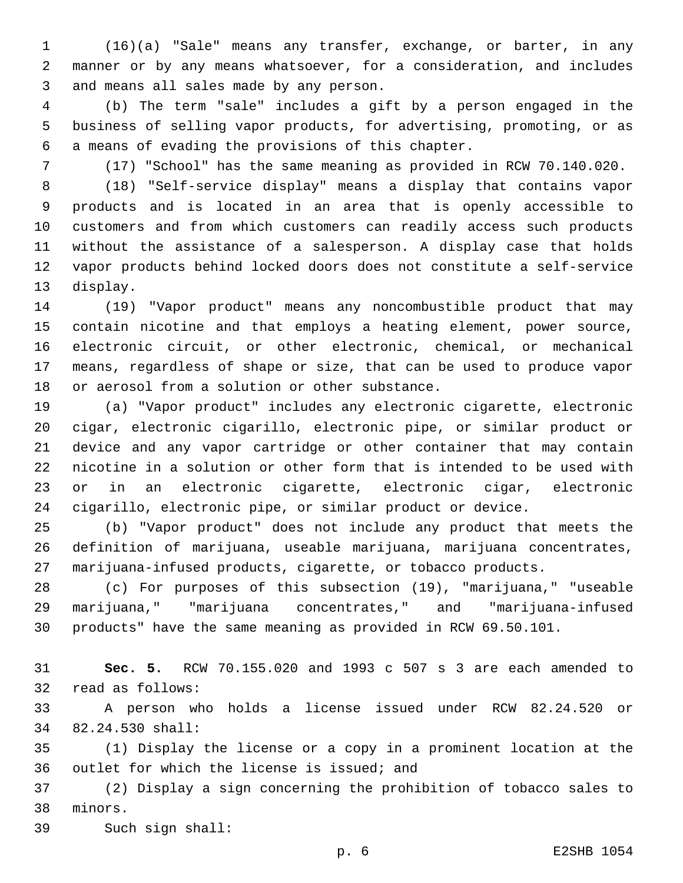(16)(a) "Sale" means any transfer, exchange, or barter, in any manner or by any means whatsoever, for a consideration, and includes 3 and means all sales made by any person.

 (b) The term "sale" includes a gift by a person engaged in the business of selling vapor products, for advertising, promoting, or as 6 a means of evading the provisions of this chapter.

(17) "School" has the same meaning as provided in RCW 70.140.020.

 (18) "Self-service display" means a display that contains vapor products and is located in an area that is openly accessible to customers and from which customers can readily access such products without the assistance of a salesperson. A display case that holds vapor products behind locked doors does not constitute a self-service 13 display.

 (19) "Vapor product" means any noncombustible product that may contain nicotine and that employs a heating element, power source, electronic circuit, or other electronic, chemical, or mechanical means, regardless of shape or size, that can be used to produce vapor 18 or aerosol from a solution or other substance.

 (a) "Vapor product" includes any electronic cigarette, electronic cigar, electronic cigarillo, electronic pipe, or similar product or device and any vapor cartridge or other container that may contain nicotine in a solution or other form that is intended to be used with or in an electronic cigarette, electronic cigar, electronic cigarillo, electronic pipe, or similar product or device.

 (b) "Vapor product" does not include any product that meets the definition of marijuana, useable marijuana, marijuana concentrates, marijuana-infused products, cigarette, or tobacco products.

 (c) For purposes of this subsection (19), "marijuana," "useable marijuana," "marijuana concentrates," and "marijuana-infused products" have the same meaning as provided in RCW 69.50.101.

 **Sec. 5.** RCW 70.155.020 and 1993 c 507 s 3 are each amended to 32 read as follows:

 A person who holds a license issued under RCW 82.24.520 or 82.24.530 shall:34

 (1) Display the license or a copy in a prominent location at the 36 outlet for which the license is issued; and

 (2) Display a sign concerning the prohibition of tobacco sales to 38 minors.

39 Such sign shall: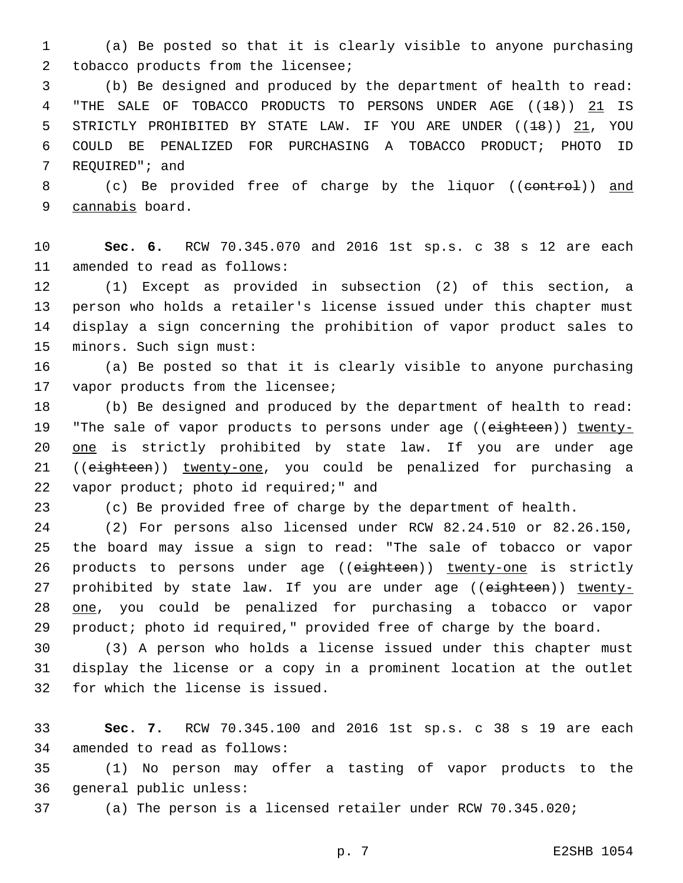1 (a) Be posted so that it is clearly visible to anyone purchasing 2 tobacco products from the licensee;

3 (b) Be designed and produced by the department of health to read: 4 "THE SALE OF TOBACCO PRODUCTS TO PERSONS UNDER AGE ((18)) 21 IS 5 STRICTLY PROHIBITED BY STATE LAW. IF YOU ARE UNDER ((18)) 21, YOU 6 COULD BE PENALIZED FOR PURCHASING A TOBACCO PRODUCT; PHOTO ID 7 REQUIRED"; and

8 (c) Be provided free of charge by the liquor ((control)) and 9 cannabis board.

10 **Sec. 6.** RCW 70.345.070 and 2016 1st sp.s. c 38 s 12 are each 11 amended to read as follows:

 (1) Except as provided in subsection (2) of this section, a person who holds a retailer's license issued under this chapter must display a sign concerning the prohibition of vapor product sales to 15 minors. Such sign must:

16 (a) Be posted so that it is clearly visible to anyone purchasing 17 vapor products from the licensee;

18 (b) Be designed and produced by the department of health to read: 19 "The sale of vapor products to persons under age ((eighteen)) twenty-20 one is strictly prohibited by state law. If you are under age 21 ((eighteen)) twenty-one, you could be penalized for purchasing a 22 vapor product; photo id required;" and

23 (c) Be provided free of charge by the department of health.

 (2) For persons also licensed under RCW 82.24.510 or 82.26.150, the board may issue a sign to read: "The sale of tobacco or vapor 26 products to persons under age ((eighteen)) twenty-one is strictly 27 prohibited by state law. If you are under age ((eighteen)) twenty- one, you could be penalized for purchasing a tobacco or vapor product; photo id required," provided free of charge by the board.

30 (3) A person who holds a license issued under this chapter must 31 display the license or a copy in a prominent location at the outlet 32 for which the license is issued.

33 **Sec. 7.** RCW 70.345.100 and 2016 1st sp.s. c 38 s 19 are each 34 amended to read as follows:

35 (1) No person may offer a tasting of vapor products to the 36 general public unless:

37 (a) The person is a licensed retailer under RCW 70.345.020;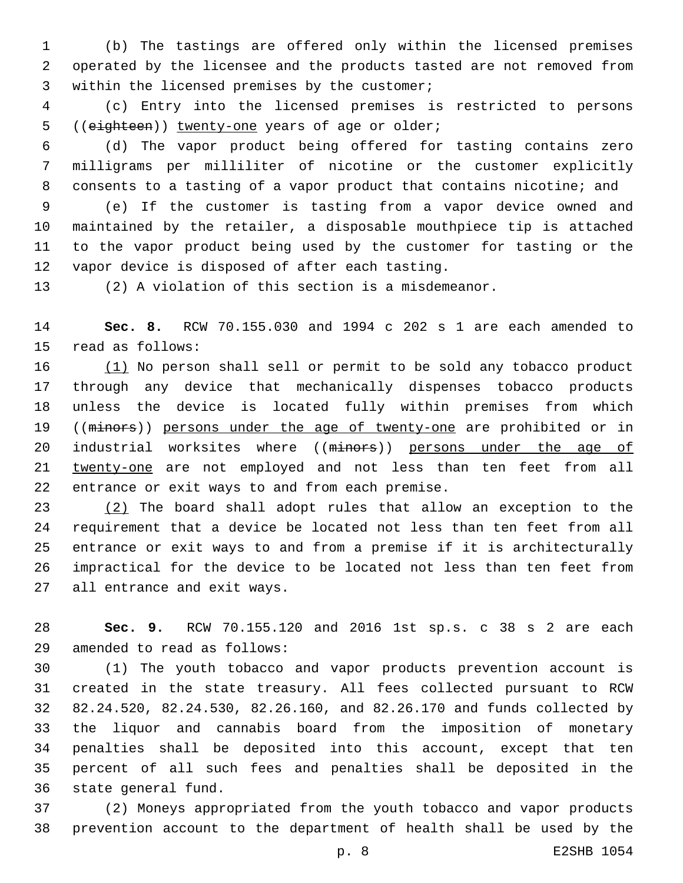(b) The tastings are offered only within the licensed premises operated by the licensee and the products tasted are not removed from 3 within the licensed premises by the customer;

 (c) Entry into the licensed premises is restricted to persons 5 ((eighteen)) twenty-one years of age or older;

 (d) The vapor product being offered for tasting contains zero milligrams per milliliter of nicotine or the customer explicitly consents to a tasting of a vapor product that contains nicotine; and

 (e) If the customer is tasting from a vapor device owned and maintained by the retailer, a disposable mouthpiece tip is attached to the vapor product being used by the customer for tasting or the 12 vapor device is disposed of after each tasting.

(2) A violation of this section is a misdemeanor.

 **Sec. 8.** RCW 70.155.030 and 1994 c 202 s 1 are each amended to 15 read as follows:

 (1) No person shall sell or permit to be sold any tobacco product through any device that mechanically dispenses tobacco products unless the device is located fully within premises from which 19 ((minors)) persons under the age of twenty-one are prohibited or in 20 industrial worksites where ((minors)) persons under the age of twenty-one are not employed and not less than ten feet from all 22 entrance or exit ways to and from each premise.

 (2) The board shall adopt rules that allow an exception to the requirement that a device be located not less than ten feet from all entrance or exit ways to and from a premise if it is architecturally impractical for the device to be located not less than ten feet from 27 all entrance and exit ways.

 **Sec. 9.** RCW 70.155.120 and 2016 1st sp.s. c 38 s 2 are each amended to read as follows:29

 (1) The youth tobacco and vapor products prevention account is created in the state treasury. All fees collected pursuant to RCW 82.24.520, 82.24.530, 82.26.160, and 82.26.170 and funds collected by the liquor and cannabis board from the imposition of monetary penalties shall be deposited into this account, except that ten percent of all such fees and penalties shall be deposited in the 36 state general fund.

 (2) Moneys appropriated from the youth tobacco and vapor products prevention account to the department of health shall be used by the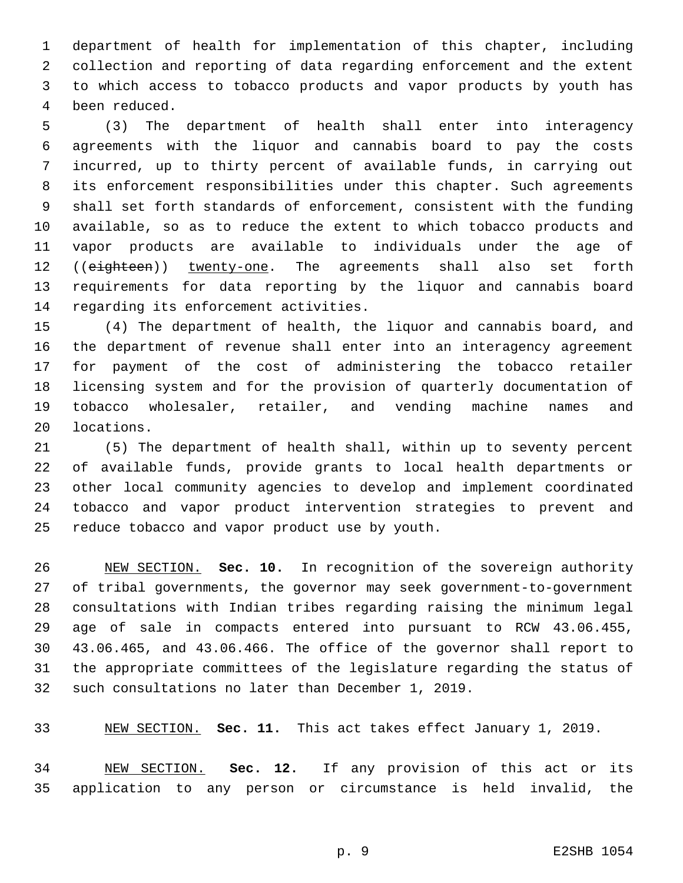department of health for implementation of this chapter, including collection and reporting of data regarding enforcement and the extent to which access to tobacco products and vapor products by youth has been reduced.4

 (3) The department of health shall enter into interagency agreements with the liquor and cannabis board to pay the costs incurred, up to thirty percent of available funds, in carrying out its enforcement responsibilities under this chapter. Such agreements shall set forth standards of enforcement, consistent with the funding available, so as to reduce the extent to which tobacco products and vapor products are available to individuals under the age of 12 ((eighteen)) twenty-one. The agreements shall also set forth requirements for data reporting by the liquor and cannabis board 14 regarding its enforcement activities.

 (4) The department of health, the liquor and cannabis board, and the department of revenue shall enter into an interagency agreement for payment of the cost of administering the tobacco retailer licensing system and for the provision of quarterly documentation of tobacco wholesaler, retailer, and vending machine names and 20 locations.

 (5) The department of health shall, within up to seventy percent of available funds, provide grants to local health departments or other local community agencies to develop and implement coordinated tobacco and vapor product intervention strategies to prevent and 25 reduce tobacco and vapor product use by youth.

 NEW SECTION. **Sec. 10.** In recognition of the sovereign authority of tribal governments, the governor may seek government-to-government consultations with Indian tribes regarding raising the minimum legal age of sale in compacts entered into pursuant to RCW 43.06.455, 43.06.465, and 43.06.466. The office of the governor shall report to the appropriate committees of the legislature regarding the status of such consultations no later than December 1, 2019.

NEW SECTION. **Sec. 11.** This act takes effect January 1, 2019.

 NEW SECTION. **Sec. 12.** If any provision of this act or its application to any person or circumstance is held invalid, the